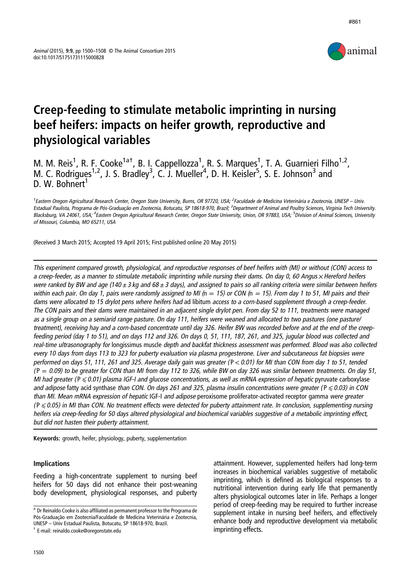

# Creep-feeding to stimulate metabolic imprinting in nursing beef heifers: impacts on heifer growth, reproductive and physiological variables

M. M. Reis<sup>1</sup>, R. F. Cooke<sup>1a†</sup>, B. I. Cappellozza<sup>1</sup>, R. S. Marques<sup>1</sup>, T. A. Guarnieri Filho<sup>1,2</sup>, M. C. Rodrigues<sup>1,2</sup>, J. S. Bradley<sup>3</sup>, C. J. Mueller<sup>4</sup>, D. H. Keisler<sup>5</sup>, S. E. Johnson<sup>3</sup> and D. W. Bohnert<sup>1</sup>

<sup>1</sup>Eastern Oregon Agricultural Research Center, Oregon State University, Burns, OR 97720, USA; <sup>2</sup>Faculdade de Medicina Veterinária e Zootecnia, UNESP – Univ. Estadual Paulista, Programa de Pós-Graduação em Zootecnia, Botucatu, SP 18618-970, Brazil; <sup>3</sup>Department of Animal and Poultry Sciences, Virginia Tech University Blacksburg, VA 24061, USA; <sup>4</sup>Eastern Oregon Agricultural Research Center, Oregon State University, Union, OR 97883, USA; <sup>5</sup>Division of Animal Sciences, University of Missouri, Columbia, MO 65211, USA

(Received 3 March 2015; Accepted 19 April 2015; First published online 20 May 2015)

This experiment compared growth, physiological, and reproductive responses of beef heifers with (MI) or without (CON) access to a creep-feeder, as a manner to stimulate metabolic imprinting while nursing their dams. On day 0, 60 Angus  $\times$  Hereford heifers were ranked by BW and age (140  $\pm$  3 kg and 68  $\pm$  3 days), and assigned to pairs so all ranking criteria were similar between heifers within each pair. On day 1, pairs were randomly assigned to MI ( $n = 15$ ) or CON ( $n = 15$ ). From day 1 to 51, MI pairs and their dams were allocated to 15 drylot pens where heifers had ad libitum access to <sup>a</sup> corn-based supplement through <sup>a</sup> creep-feeder. The CON pairs and their dams were maintained in an adjacent single drylot pen. From day 52 to 111, treatments were managed as <sup>a</sup> single group on <sup>a</sup> semiarid range pasture. On day 111, heifers were weaned and allocated to two pastures (one pasture/ treatment), receiving hay and <sup>a</sup> corn-based concentrate until day 326. Heifer BW was recorded before and at the end of the creepfeeding period (day 1 to 51), and on days 112 and 326. On days 0, 51, 111, 187, 261, and 325, jugular blood was collected and real-time ultrasonography for longissimus muscle depth and backfat thickness assessment was performed. Blood was also collected every 10 days from days 113 to 323 for puberty evaluation via plasma progesterone. Liver and subcutaneous fat biopsies were performed on days 51, 111, 261 and 325. Average daily gain was greater (P < 0.01) for MI than CON from day 1 to 51, tended  $(P = 0.09)$  to be greater for CON than MI from day 112 to 326, while BW on day 326 was similar between treatments. On day 51, MI had greater ( $P \le 0.01$ ) plasma IGF-I and glucose concentrations, as well as mRNA expression of hepatic pyruvate carboxylase and adipose fatty acid synthase than CON. On days 261 and 325, plasma insulin concentrations were greater ( $P \le 0.03$ ) in CON than MI. Mean mRNA expression of hepatic IGF-I and adipose peroxisome proliferator-activated receptor gamma were greater  $(P \le 0.05)$  in MI than CON. No treatment effects were detected for puberty attainment rate. In conclusion, supplementing nursing heifers via creep-feeding for 50 days altered physiological and biochemical variables suggestive of <sup>a</sup> metabolic imprinting effect, but did not hasten their puberty attainment.

Keywords: growth, heifer, physiology, puberty, supplementation

## Implications

Feeding a high-concentrate supplement to nursing beef heifers for 50 days did not enhance their post-weaning body development, physiological responses, and puberty

attainment. However, supplemented heifers had long-term increases in biochemical variables suggestive of metabolic imprinting, which is defined as biological responses to a nutritional intervention during early life that permanently alters physiological outcomes later in life. Perhaps a longer period of creep-feeding may be required to further increase supplement intake in nursing beef heifers, and effectively enhance body and reproductive development via metabolic

imprinting effects. † E-mail: [reinaldo.cooke@oregonstate.edu](mailto:reinaldo.cooke@oregonstate.edu) <sup>a</sup> Dr Reinaldo Cooke is also affiliated as permanent professor to the Programa de Pós-Graduação em Zootecnia/Faculdade de Medicina Veterinária e Zootecnia, UNESP – Univ Estadual Paulista, Botucatu, SP 18618-970, Brazil.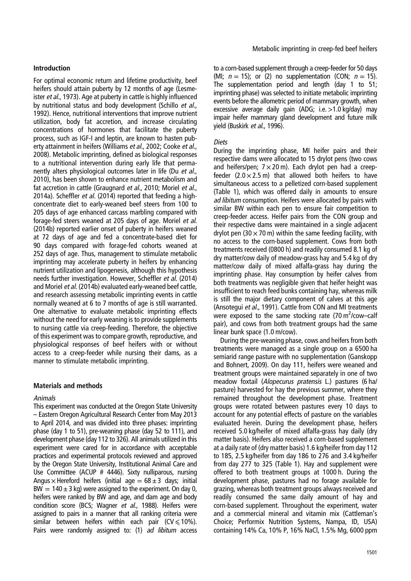## Introduction

For optimal economic return and lifetime productivity, beef heifers should attain puberty by 12 months of age (Lesmeister et al., [1973\)](#page-8-0). Age at puberty in cattle is highly influenced by nutritional status and body development (Schillo et al., [1992](#page-8-0)). Hence, nutritional interventions that improve nutrient utilization, body fat accretion, and increase circulating concentrations of hormones that facilitate the puberty process, such as IGF-I and leptin, are known to hasten pub-erty attainment in heifers (Williams et al., [2002;](#page-8-0) Cooke et al., [2008](#page-7-0)). Metabolic imprinting, defined as biological responses to a nutritional intervention during early life that permanently alters physiological outcomes later in life (Du et al., [2010](#page-8-0)), has been shown to enhance nutrient metabolism and fat accretion in cattle (Graugnard et al., [2010](#page-8-0); Moriel et al., [2014a](#page-8-0)). Scheffler et al. [\(2014](#page-8-0)) reported that feeding a highconcentrate diet to early-weaned beef steers from 100 to 205 days of age enhanced carcass marbling compared with forage-fed steers weaned at 205 days of age. Moriel et al. [\(2014b](#page-8-0)) reported earlier onset of puberty in heifers weaned at 72 days of age and fed a concentrate-based diet for 90 days compared with forage-fed cohorts weaned at 252 days of age. Thus, management to stimulate metabolic imprinting may accelerate puberty in heifers by enhancing nutrient utilization and lipogenesis, although this hypothesis needs further investigation. However, Scheffler et al. ([2014\)](#page-8-0) and Moriel et al. ([2014b\)](#page-8-0) evaluated early-weaned beef cattle, and research assessing metabolic imprinting events in cattle normally weaned at 6 to 7 months of age is still warranted. One alternative to evaluate metabolic imprinting effects without the need for early weaning is to provide supplements to nursing cattle via creep-feeding. Therefore, the objective of this experiment was to compare growth, reproductive, and physiological responses of beef heifers with or without access to a creep-feeder while nursing their dams, as a manner to stimulate metabolic imprinting.

## Materials and methods

## Animals

This experiment was conducted at the Oregon State University – Eastern Oregon Agricultural Research Center from May 2013 to April 2014, and was divided into three phases: imprinting phase (day 1 to 51), pre-weaning phase (day 52 to 111), and development phase (day 112 to 326). All animals utilized in this experiment were cared for in accordance with acceptable practices and experimental protocols reviewed and approved by the Oregon State University, Institutional Animal Care and Use Committee (ACUP # 4446). Sixty nulliparous, nursing Angus  $\times$  Hereford heifers (initial age = 68  $\pm$  3 days; initial BW =  $140 \pm 3$  kg) were assigned to the experiment. On day 0, heifers were ranked by BW and age, and dam age and body condition score (BCS; Wagner et al., [1988\)](#page-8-0). Heifers were assigned to pairs in a manner that all ranking criteria were similar between heifers within each pair (CV $\leq$ 10%). Pairs were randomly assigned to: (1) ad libitum access

to a corn-based supplement through a creep-feeder for 50 days (MI;  $n = 15$ ); or (2) no supplementation (CON;  $n = 15$ ). The supplementation period and length (day 1 to 51; imprinting phase) was selected to initiate metabolic imprinting events before the allometric period of mammary growth, when excessive average daily gain (ADG; i.e.>1.0 kg/day) may impair heifer mammary gland development and future milk vield (Buskirk et al., [1996\)](#page-7-0).

## Diets

During the imprinting phase, MI heifer pairs and their respective dams were allocated to 15 drylot pens (two cows and heifers/pen;  $7 \times 20$  m). Each drylot pen had a creepfeeder  $(2.0 \times 2.5 \text{ m})$  that allowed both heifers to have simultaneous access to a pelletized corn-based supplement [\(Table 1](#page-2-0)), which was offered daily in amounts to ensure ad libitum consumption. Heifers were allocated by pairs with similar BW within each pen to ensure fair competition to creep-feeder access. Heifer pairs from the CON group and their respective dams were maintained in a single adjacent drylot pen (30  $\times$  70 m) within the same feeding facility, with no access to the corn-based supplement. Cows from both treatments received (0800 h) and readily consumed 8.1 kg of dry matter/cow daily of meadow-grass hay and 5.4 kg of dry matter/cow daily of mixed alfalfa-grass hay during the imprinting phase. Hay consumption by heifer calves from both treatments was negligible given that heifer height was insufficient to reach feed bunks containing hay, whereas milk is still the major dietary component of calves at this age (Ansotegui et al., [1991\)](#page-7-0). Cattle from CON and MI treatments were exposed to the same stocking rate  $(70 \text{ m}^2/\text{cow–calf})$ pair), and cows from both treatment groups had the same linear bunk space (1.0 m/cow).

During the pre-weaning phase, cows and heifers from both treatments were managed as a single group on a 6500 ha semiarid range pasture with no supplementation (Ganskopp and Bohnert, [2009](#page-8-0)). On day 111, heifers were weaned and treatment groups were maintained separately in one of two meadow foxtail (Alopecurus pratensis L.) pastures (6 ha/ pasture) harvested for hay the previous summer, where they remained throughout the development phase. Treatment groups were rotated between pastures every 10 days to account for any potential effects of pasture on the variables evaluated herein. During the development phase, heifers received 5.0 kg/heifer of mixed alfalfa-grass hay daily (dry matter basis). Heifers also received a corn-based supplement at a daily rate of (dry matter basis) 1.6 kg/heifer from day 112 to 185, 2.5 kg/heifer from day 186 to 276 and 3.4 kg/heifer from day 277 to 325 [\(Table 1](#page-2-0)). Hay and supplement were offered to both treatment groups at 1000 h. During the development phase, pastures had no forage available for grazing, whereas both treatment groups always received and readily consumed the same daily amount of hay and corn-based supplement. Throughout the experiment, water and a commercial mineral and vitamin mix (Cattleman's Choice; Performix Nutrition Systems, Nampa, ID, USA) containing 14% Ca, 10% P, 16% NaCl, 1.5% Mg, 6000 ppm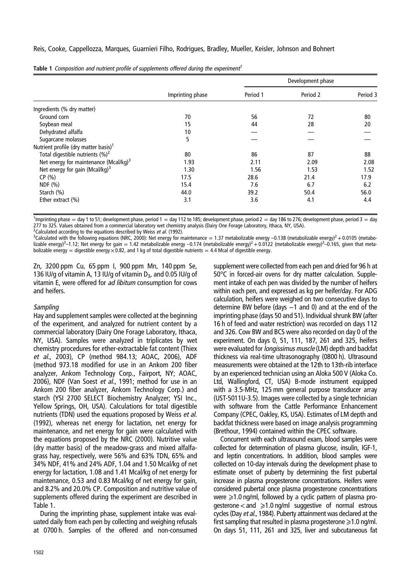|                                                  |                  | Development phase |          |          |
|--------------------------------------------------|------------------|-------------------|----------|----------|
|                                                  | Imprinting phase | Period 1          | Period 2 | Period 3 |
| Ingredients (% dry matter)                       |                  |                   |          |          |
| Ground corn                                      | 70               | 56                | 72       | 80       |
| Soybean meal                                     | 15               | 44                | 28       | 20       |
| Dehydrated alfalfa                               | 10               |                   |          |          |
| Sugarcane molasses                               | 5                |                   |          |          |
| Nutrient profile (dry matter basis) <sup>1</sup> |                  |                   |          |          |
| Total digestible nutrients $(\%)^2$              | 80               | 86                | 87       | 88       |
| Net energy for maintenance (Mcal/kg) $3$         | 1.93             | 2.11              | 2.09     | 2.08     |
| Net energy for gain (Mcal/kg) $3$                | 1.30             | 1.56              | 1.53     | 1.52     |
| CP(% )                                           | 17.5             | 28.6              | 21.4     | 17.9     |
| NDF (%)                                          | 15.4             | 7.6               | 6.7      | 6.2      |
| Starch (%)                                       | 44.0             | 39.2              | 50.4     | 56.0     |
| Ether extract $(\% )$                            | 3.1              | 3.6               | 4.1      | 4.4      |

<span id="page-2-0"></span>

|  |  | Table 1 Composition and nutrient profile of supplements offered during the experiment <sup>1</sup> |  |  |
|--|--|----------------------------------------------------------------------------------------------------|--|--|
|  |  |                                                                                                    |  |  |

<sup>1</sup> Imprinting phase = day 1 to 51; development phase, period 1 = day 112 to 185; development phase, period 2 = day 186 to 276; development phase, period 3 = day 277 to 325. Values obtained from a commercial laboratory wet chemistry analysis (Dairy One Forage Laboratory, Ithaca, NY, USA). <sup>2</sup> Calculated according to the equations described by Weiss *et al.* [\(1992\)](#page-8-0).<br><sup>3</sup> Calculated with the following equations (NBC, 2000): Net energy for n

<sup>3</sup>Calculated with the following equations (NRC, [2000](#page-8-0)): Net energy for maintenance = 1.37 metabolizable energy -0.138 (metabolizable energy)<sup>2</sup> + 0.0105 (metabolizable energy)<sup>3</sup>–1.12; Net energy for gain = 1.42 metabolizable energy -0.174 (metabolizable energy)<sup>2</sup> + 0.0122 (metabolizable energy)<sup>3</sup>–0.165, given that metabolizable energy = digestible energy  $\times$  0.82, and 1 kg of total digestible nutrients = 4.4 Mcal of digestible energy.

Zn, 3200 ppm Cu, 65 ppm I, 900 ppm Mn, 140 ppm Se, 136 IU/g of vitamin A, 13 IU/g of vitamin  $D_3$ , and 0.05 IU/g of vitamin E, were offered for ad libitum consumption for cows and heifers.

## **Sampling**

Hay and supplement samples were collected at the beginning of the experiment, and analyzed for nutrient content by a commercial laboratory (Dairy One Forage Laboratory, Ithaca, NY, USA). Samples were analyzed in triplicates by wet chemistry procedures for ether-extractable fat content (Thiex et al., [2003\)](#page-8-0), CP (method 984.13; AOAC, [2006\)](#page-7-0), ADF (method 973.18 modified for use in an Ankom 200 fiber analyzer, Ankom Technology Corp., Fairport, NY; AOAC, [2006](#page-7-0)), NDF (Van Soest et al., [1991](#page-8-0); method for use in an Ankom 200 fiber analyzer, Ankom Technology Corp.) and starch (YSI 2700 SELECT Biochemistry Analyzer; YSI Inc., Yellow Springs, OH, USA). Calculations for total digestible nutrients (TDN) used the equations proposed by Weiss et al. [\(1992](#page-8-0)), whereas net energy for lactation, net energy for maintenance, and net energy for gain were calculated with the equations proposed by the NRC [\(2000](#page-8-0)). Nutritive value (dry matter basis) of the meadow-grass and mixed alfalfagrass hay, respectively, were 56% and 63% TDN, 65% and 34% NDF, 41% and 24% ADF, 1.04 and 1.50 Mcal/kg of net energy for lactation, 1.08 and 1.41 Mcal/kg of net energy for maintenance, 0.53 and 0.83 Mcal/kg of net energy for gain, and 8.2% and 20.0% CP. Composition and nutritive value of supplements offered during the experiment are described in Table 1.

During the imprinting phase, supplement intake was evaluated daily from each pen by collecting and weighing refusals at 0700 h. Samples of the offered and non-consumed

supplement were collected from each pen and dried for 96 h at 50°C in forced-air ovens for dry matter calculation. Supplement intake of each pen was divided by the number of heifers within each pen, and expressed as kg per heifer/day. For ADG calculation, heifers were weighed on two consecutive days to determine BW before (days –1 and 0) and at the end of the imprinting phase (days 50 and 51). Individual shrunk BW (after 16 h of feed and water restriction) was recorded on days 112 and 326. Cow BW and BCS were also recorded on day 0 of the experiment. On days 0, 51, 111, 187, 261 and 325, heifers were evaluated for *longissimus muscle* (LM) depth and backfat thickness via real-time ultrasonography (0800 h). Ultrasound measurements were obtained at the 12th to 13th-rib interface by an experienced technician using an Aloka 500 V (Aloka Co. Ltd, Wallingford, CT, USA) B-mode instrument equipped with a 3.5-MHz, 125 mm general purpose transducer array (UST-5011U-3.5). Images were collected by a single technician with software from the Cattle Performance Enhancement Company (CPEC, Oakley, KS, USA). Estimates of LM depth and backfat thickness were based on image analysis programming (Brethour, [1994](#page-7-0)) contained within the CPEC software.

Concurrent with each ultrasound exam, blood samples were collected for determination of plasma glucose, insulin, IGF-1, and leptin concentrations. In addition, blood samples were collected on 10-day intervals during the development phase to estimate onset of puberty by determining the first pubertal increase in plasma progesterone concentrations. Heifers were considered pubertal once plasma progesterone concentrations were  $\geq 1.0$  ng/ml, followed by a cyclic pattern of plasma progesterone  $<$  and  $\geqslant$  1.0 ng/ml suggestive of normal estrous cycles (Day et al., [1984\)](#page-8-0). Puberty attainment was declared at the first sampling that resulted in plasma progesterone  $\geq 1.0$  ng/ml. On days 51, 111, 261 and 325, liver and subcutaneous fat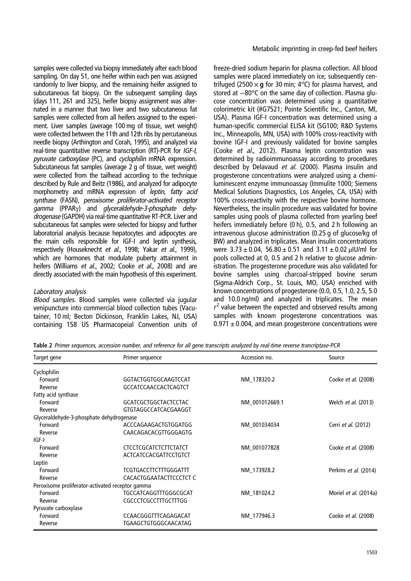<span id="page-3-0"></span>samples were collected via biopsy immediately after each blood sampling. On day 51, one heifer within each pen was assigned randomly to liver biopsy, and the remaining heifer assigned to subcutaneous fat biopsy. On the subsequent sampling days (days 111, 261 and 325), heifer biopsy assignment was alternated in a manner that two liver and two subcutaneous fat samples were collected from all heifers assigned to the experiment. Liver samples (average 100 mg of tissue, wet weight) were collected between the 11th and 12th ribs by percutaneous needle biopsy (Arthington and Corah, [1995](#page-7-0)), and analyzed via real-time quantitative reverse transcription (RT)-PCR for IGF-I, pyruvate carboxylase (PC), and cyclophilin mRNA expression. Subcutaneous fat samples (average 2 g of tissue, wet weight) were collected from the tailhead according to the technique described by Rule and Beitz [\(1986](#page-8-0)), and analyzed for adipocyte morphometry and mRNA expression of leptin, fatty acid synthase (FASN), peroxisome proliferator-activated receptor gamma (PPARγ) and glyceraldehyde-3-phosphate dehydrogenase (GAPDH) via real-time quantitative RT-PCR. Liver and subcutaneous fat samples were selected for biopsy and further laboratorial analysis because hepatocytes and adipocytes are the main cells responsible for IGF-I and leptin synthesis, respectively (Houseknecht et al., [1998;](#page-8-0) Yakar et al., [1999](#page-8-0)), which are hormones that modulate puberty attainment in heifers (Williams et al., [2002](#page-8-0); Cooke et al., [2008](#page-7-0)) and are directly associated with the main hypothesis of this experiment.

# Laboratory analysis

Blood samples. Blood samples were collected via jugular venipuncture into commercial blood collection tubes (Vacutainer, 10 ml; Becton Dickinson, Franklin Lakes, NJ, USA) containing 158 US Pharmacopeial Convention units of

freeze-dried sodium heparin for plasma collection. All blood samples were placed immediately on ice, subsequently centrifuged (2500  $\times$  g for 30 min; 4°C) for plasma harvest, and stored at −80°C on the same day of collection. Plasma glucose concentration was determined using a quantitative colorimetric kit (#G7521; Pointe Scientific Inc., Canton, MI, USA). Plasma IGF-I concentration was determined using a human-specific commercial ELISA kit (SG100; R&D Systems Inc., Minneapolis, MN, USA) with 100% cross-reactivity with bovine IGF-I and previously validated for bovine samples (Cooke et al., [2012\)](#page-7-0). Plasma leptin concentration was determined by radioimmunoassay according to procedures described by Delavaud et al. ([2000\)](#page-8-0). Plasma insulin and progesterone concentrations were analyzed using a chemiluminescent enzyme immunoassay (Immulite 1000; Siemens Medical Solutions Diagnostics, Los Angeles, CA, USA) with 100% cross-reactivity with the respective bovine hormone. Nevertheless, the insulin procedure was validated for bovine samples using pools of plasma collected from yearling beef heifers immediately before (0 h), 0.5, and 2 h following an intravenous glucose administration (0.25 g of glucose/kg of BW) and analyzed in triplicates. Mean insulin concentrations were  $3.73 \pm 0.04$ ,  $56.80 \pm 0.51$  and  $3.11 \pm 0.02$  µIU/ml for pools collected at 0, 0.5 and 2 h relative to glucose administration. The progesterone procedure was also validated for bovine samples using charcoal-stripped bovine serum (Sigma-Aldrich Corp., St. Louis, MO, USA) enriched with known concentrations of progesterone (0.0, 0.5, 1.0, 2.5, 5.0 and 10.0 ng/ml) and analyzed in triplicates. The mean  $r<sup>2</sup>$  value between the expected and observed results among samples with known progesterone concentrations was  $0.971 \pm 0.004$ , and mean progesterone concentrations were

Table 2 Primer sequences, accession number, and reference for all gene transcripts analyzed by real-time reverse trancriptase-PCR

| Target gene                                      | Primer sequence              | Accession no.  | Source                     |
|--------------------------------------------------|------------------------------|----------------|----------------------------|
| Cyclophilin                                      |                              |                |                            |
| Forward                                          | GGTACTGGTGGCAAGTCCAT         | NM 178320.2    | Cooke et al. (2008)        |
| Reverse                                          | <b>GCCATCCAACCACTCAGTCT</b>  |                |                            |
| Fatty acid synthase                              |                              |                |                            |
| Forward                                          | <b>GCATCGCTGGCTACTCCTAC</b>  | NM_001012669.1 | Welch et al. (2013)        |
| Reverse                                          | GTGTAGGCCATCACGAAGGT         |                |                            |
| Glyceraldehyde-3-phosphate dehydrogenase         |                              |                |                            |
| Forward                                          | ACCCAGAAGACTGTGGATGG         | NM 001034034   | Cerri et al. (2012)        |
| Reverse                                          | CAACAGACACGTTGGGAGTG         |                |                            |
| IGF-I                                            |                              |                |                            |
| Forward                                          | <b>CTCCTCGCATCTCTTCTATCT</b> | NM 001077828   | Cooke et al. (2008)        |
| Reverse                                          | ACTCATCCACGATTCCTGTCT        |                |                            |
| Leptin                                           |                              |                |                            |
| Forward                                          | <b>TCGTGACCTTCTTTGGGATTT</b> | NM 173928.2    | Perkins et al. (2014)      |
| Reverse                                          | CACACTGGAATACTTCCCTCT C      |                |                            |
| Peroxisome proliferator-activated receptor gamma |                              |                |                            |
| Forward                                          | TGCCATCAGGTTTGGGCGCAT        | NM 181024.2    | Moriel et al. (2014a)      |
| Reverse                                          | <b>CGCCCTCGCCTTTGCTTTGG</b>  |                |                            |
| Pyruvate carboxylase                             |                              |                |                            |
| Forward                                          | CCAACGGGTTTCAGAGACAT         | NM 177946.3    | Cooke <i>et al.</i> (2008) |
| Reverse                                          | TGAAGCTGTGGGCAACATAG         |                |                            |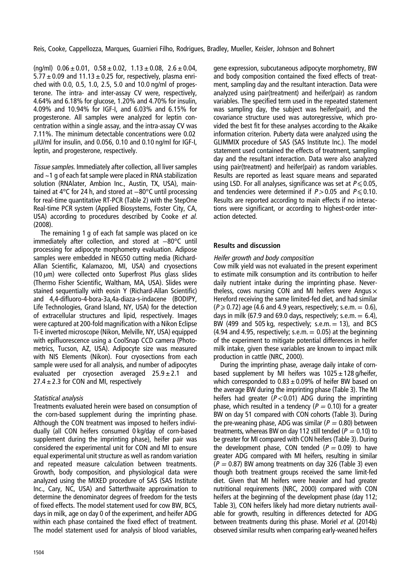$(nq/ml)$  0.06  $\pm$  0.01, 0.58  $\pm$  0.02, 1.13  $\pm$  0.08, 2.6  $\pm$  0.04,  $5.77 \pm 0.09$  and  $11.13 \pm 0.25$  for, respectively, plasma enriched with 0.0, 0.5, 1.0, 2.5, 5.0 and 10.0 ng/ml of progesterone. The intra- and inter-assay CV were, respectively, 4.64% and 6.18% for glucose, 1.20% and 4.70% for insulin, 4.09% and 10.94% for IGF-I, and 6.03% and 6.15% for progesterone. All samples were analyzed for leptin concentration within a single assay, and the intra-assay CV was 7.11%. The minimum detectable concentrations were 0.02 µIU/ml for insulin, and 0.056, 0.10 and 0.10 ng/ml for IGF-I, leptin, and progesterone, respectively.

Tissue samples. Immediately after collection, all liver samples and ~1 g of each fat sample were placed in RNA stabilization solution (RNAlater, Ambion Inc., Austin, TX, USA), maintained at 4°C for 24 h, and stored at −80°C until processing for real-time quantitative RT-PCR [\(Table 2](#page-3-0)) with the StepOne Real-time PCR system (Applied Biosystems, Foster City, CA, USA) according to procedures described by Cooke et al. [\(2008](#page-7-0)).

The remaining 1 g of each fat sample was placed on ice immediately after collection, and stored at −80°C until processing for adipocyte morphometry evaluation. Adipose samples were embedded in NEG50 cutting media (Richard-Allan Scientific, Kalamazoo, MI, USA) and cryosections  $(10 \mu m)$  were collected onto Superfrost Plus glass slides (Thermo Fisher Scientific, Waltham, MA, USA). Slides were stained sequentially with eosin Y (Richard-Allan Scientific) and 4,4-difluoro-4-bora-3a,4a-diaza-s-indacene (BODIPY, Life Technologies, Grand Island, NY, USA) for the detection of extracellular structures and lipid, respectively. Images were captured at 200-fold magnification with a Nikon Eclipse Ti-E inverted microscope (Nikon, Melville, NY, USA) equipped with epifluorescence using a CoolSnap CCD camera (Photometrics, Tucson, AZ, USA). Adipocyte size was measured with NIS Elements (Nikon). Four cryosections from each sample were used for all analysis, and number of adipocytes evaluated per cryosection averaged  $25.9 \pm 2.1$  and  $27.4 \pm 2.3$  for CON and MI, respectively

# Statistical analysis

Treatments evaluated herein were based on consumption of the corn-based supplement during the imprinting phase. Although the CON treatment was imposed to heifers individually (all CON heifers consumed 0 kg/day of corn-based supplement during the imprinting phase), heifer pair was considered the experimental unit for CON and MI to ensure equal experimental unit structure as well as random variation and repeated measure calculation between treatments. Growth, body composition, and physiological data were analyzed using the MIXED procedure of SAS (SAS Institute Inc., Cary, NC, USA) and Satterthwaite approximation to determine the denominator degrees of freedom for the tests of fixed effects. The model statement used for cow BW, BCS, days in milk, age on day 0 of the experiment, and heifer ADG within each phase contained the fixed effect of treatment. The model statement used for analysis of blood variables,

gene expression, subcutaneous adipocyte morphometry, BW and body composition contained the fixed effects of treatment, sampling day and the resultant interaction. Data were analyzed using pair(treatment) and heifer(pair) as random variables. The specified term used in the repeated statement was sampling day, the subject was heifer(pair), and the covariance structure used was autoregressive, which provided the best fit for these analyses according to the Akaike information criterion. Puberty data were analyzed using the GLIMMIX procedure of SAS (SAS Institute Inc.). The model statement used contained the effects of treatment, sampling day and the resultant interaction. Data were also analyzed using pair(treatment) and heifer(pair) as random variables. Results are reported as least square means and separated using LSD. For all analyses, significance was set at  $P \le 0.05$ , and tendencies were determined if  $P > 0.05$  and  $P \le 0.10$ . Results are reported according to main effects if no interactions were significant, or according to highest-order interaction detected.

# Results and discussion

# Heifer growth and body composition

Cow milk yield was not evaluated in the present experiment to estimate milk consumption and its contribution to heifer daily nutrient intake during the imprinting phase. Nevertheless, cows nursing CON and MI heifers were Angus  $\times$ Hereford receiving the same limited-fed diet, and had similar  $(P \ge 0.72)$  age (4.6 and 4.9 years, respectively; s.e.m.  $= 0.6$ ), days in milk (67.9 and 69.0 days, respectively; s.e.m.  $= 6.4$ ), BW (499 and 505 kg, respectively; s.e.m.  $= 13$ ), and BCS  $(4.94$  and 4.95, respectively; s.e.m.  $= 0.05$ ) at the beginning of the experiment to mitigate potential differences in heifer milk intake, given these variables are known to impact milk production in cattle (NRC, [2000\)](#page-8-0).

During the imprinting phase, average daily intake of cornbased supplement by MI heifers was  $1025 \pm 128$  g/heifer, which corresponded to  $0.83 \pm 0.09\%$  of heifer BW based on the average BW during the imprinting phase [\(Table 3](#page-5-0)). The MI heifers had greater  $(P<0.01)$  ADG during the imprinting phase, which resulted in a tendency ( $P = 0.10$ ) for a greater BW on day 51 compared with CON cohorts [\(Table 3\)](#page-5-0). During the pre-weaning phase, ADG was similar ( $P = 0.80$ ) between treatments, whereas BW on day 112 still tended ( $P = 0.10$ ) to be greater for MI compared with CON heifers ([Table 3](#page-5-0)). During the development phase, CON tended ( $P = 0.09$ ) to have greater ADG compared with MI heifers, resulting in similar  $(P = 0.87)$  BW among treatments on day 326 [\(Table 3\)](#page-5-0) even though both treatment groups received the same limit-fed diet. Given that MI heifers were heavier and had greater nutritional requirements (NRC, [2000\)](#page-8-0) compared with CON heifers at the beginning of the development phase (day 112; [Table 3](#page-5-0)), CON heifers likely had more dietary nutrients available for growth, resulting in differences detected for ADG between treatments during this phase. Moriel et al. [\(2014b\)](#page-8-0) observed similar results when comparing early-weaned heifers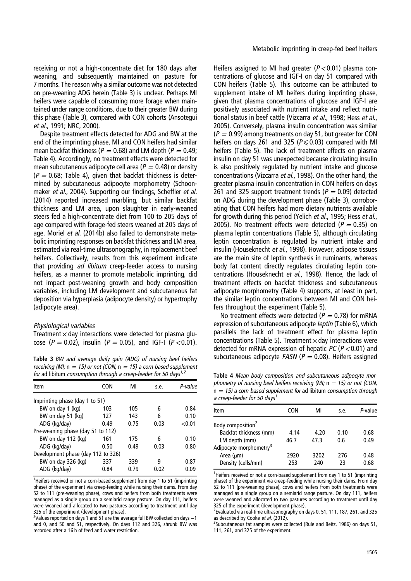<span id="page-5-0"></span>receiving or not a high-concentrate diet for 180 days after weaning, and subsequently maintained on pasture for 7 months. The reason why a similar outcome was not detected on pre-weaning ADG herein (Table 3) is unclear. Perhaps MI heifers were capable of consuming more forage when maintained under range conditions, due to their greater BW during this phase (Table 3), compared with CON cohorts (Ansotegui et al., [1991;](#page-7-0) NRC, [2000\)](#page-8-0).

Despite treatment effects detected for ADG and BW at the end of the imprinting phase, MI and CON heifers had similar mean backfat thickness ( $P = 0.68$ ) and LM depth ( $P = 0.49$ ; Table 4). Accordingly, no treatment effects were detected for mean subcutaneous adipocyte cell area ( $P = 0.48$ ) or density  $(P = 0.68;$  Table 4), given that backfat thickness is determined by subcutaneous adipocyte morphometry (Schoon-maker et al., [2004](#page-8-0)). Supporting our findings, Scheffler et al. [\(2014](#page-8-0)) reported increased marbling, but similar backfat thickness and LM area, upon slaughter in early-weaned steers fed a high-concentrate diet from 100 to 205 days of age compared with forage-fed steers weaned at 205 days of age. Moriel et al. [\(2014b](#page-8-0)) also failed to demonstrate metabolic imprinting responses on backfat thickness and LM area, estimated via real-time ultrasonography, in replacement beef heifers. Collectively, results from this experiment indicate that providing ad libitum creep-feeder access to nursing heifers, as a manner to promote metabolic imprinting, did not impact post-weaning growth and body composition variables, including LM development and subcutaneous fat deposition via hyperplasia (adipocyte density) or hypertrophy (adipocyte area).

#### Physiological variables

Treatment  $\times$  day interactions were detected for plasma glucose ( $P = 0.02$ ), insulin ( $P = 0.05$ ), and IGF-I ( $P < 0.01$ ).

receiving (MI;  $n = 15$ ) or not (CON,  $n = 15$ ) a corn-based supplement for ad libitum consumption through a creep-feeder for 50 days<sup>1,2</sup>

| Item                               | CON  | MI   | s.e.     | P-value |
|------------------------------------|------|------|----------|---------|
| Imprinting phase (day 1 to 51)     |      |      |          |         |
| BW on day 1 (kg)                   | 103  | 105  | <u>հ</u> | 0.84    |
| BW on day 51 (kg)                  | 127  | 143  | 6        | 0.10    |
| ADG (kg/day)                       | 0.49 | 0.75 | 0.03     | < 0.01  |
| Pre-weaning phase (day 51 to 112)  |      |      |          |         |
| BW on day 112 (kg)                 | 161  | 175  | 6        | 0.10    |
| ADG (kg/day)                       | 0.50 | 0.49 | 0.03     | 0.80    |
| Development phase (day 112 to 326) |      |      |          |         |
| BW on day 326 (kg)                 | 337  | 339  | q        | 0.87    |
| ADG (kg/day)                       | 0.84 | 0.79 | 0.02     | 0.09    |
|                                    |      |      |          |         |

<sup>1</sup>Heifers received or not a corn-based supplement from day 1 to 51 (imprinting phase) of the experiment via creep-feeding while nursing their dams. From day 52 to 111 (pre-weaning phase), cows and heifers from both treatments were managed as a single group on a semiarid range pasture. On day 111, heifers were weaned and allocated to two pastures according to treatment until day 325 of the experiment (development phase).

<sup>2</sup>Values reported on days 1 and 51 are the average full BW collected on days −1 and 0, and 50 and 51, respectively. On days 112 and 326, shrunk BW was recorded after a 16 h of feed and water restriction.

Heifers assigned to MI had greater ( $P < 0.01$ ) plasma concentrations of glucose and IGF-I on day 51 compared with CON heifers [\(Table 5\)](#page-6-0). This outcome can be attributed to supplement intake of MI heifers during imprinting phase, given that plasma concentrations of glucose and IGF-I are positively associated with nutrient intake and reflect nutri-tional status in beef cattle (Vizcarra et al., [1998;](#page-8-0) Hess et al., [2005](#page-8-0)). Conversely, plasma insulin concentration was similar  $(P = 0.99)$  among treatments on day 51, but greater for CON heifers on days 261 and 325 ( $P \le 0.03$ ) compared with MI heifers [\(Table 5\)](#page-6-0). The lack of treatment effects on plasma insulin on day 51 was unexpected because circulating insulin is also positively regulated by nutrient intake and glucose concentrations (Vizcarra et al., [1998](#page-8-0)). On the other hand, the greater plasma insulin concentration in CON heifers on days 261 and 325 support treatment trends ( $P = 0.09$ ) detected on ADG during the development phase (Table 3), corroborating that CON heifers had more dietary nutrients available for growth during this period (Yelich et al., [1995;](#page-8-0) Hess et al., [2005](#page-8-0)). No treatment effects were detected ( $P = 0.35$ ) on plasma leptin concentrations ([Table 5\)](#page-6-0), although circulating leptin concentration is regulated by nutrient intake and insulin (Houseknecht et al., [1998](#page-8-0)). However, adipose tissues are the main site of leptin synthesis in ruminants, whereas body fat content directly regulates circulating leptin concentrations (Houseknecht et al., [1998](#page-8-0)). Hence, the lack of treatment effects on backfat thickness and subcutaneous adipocyte morphometry (Table 4) supports, at least in part, the similar leptin concentrations between MI and CON heifers throughout the experiment ([Table 5\)](#page-6-0).

No treatment effects were detected ( $P = 0.78$ ) for mRNA expression of subcutaneous adipocyte leptin [\(Table 6\)](#page-7-0), which parallels the lack of treatment effect for plasma leptin concentrations [\(Table 5](#page-6-0)). Treatment  $\times$  day interactions were detected for mRNA expression of hepatic  $PC (P<0.01)$  and Table 3 BW and average daily gain (ADG) of nursing beef heifers subcutaneous adipocyte FASN ( $P = 0.08$ ). Heifers assigned

Table 4 Mean body composition and subcutaneous adipocyte morphometry of nursing beef heifers receiving (MI;  $n = 15$ ) or not (CON,  $n = 15$ ) a corn-based supplement for ad libitum consumption through a creep-feeder for 50 days<sup>1</sup>

| Item                               | CON  | МI   | S.e. | P-value |
|------------------------------------|------|------|------|---------|
| Body composition <sup>2</sup>      |      |      |      |         |
| Backfat thickness (mm)             | 4.14 | 4.20 | 0.10 | 0.68    |
| LM depth (mm)                      | 46.7 | 47 R | 0.6  | 0.49    |
| Adipocyte morphometry <sup>3</sup> |      |      |      |         |
| Area $(\mu m)$                     | 2920 | 3202 | 276  | 0.48    |
| Density (cells/mm)                 | 253  | 240  | 23   | 0.68    |

<sup>1</sup>Heifers received or not a corn-based supplement from day 1 to 51 (imprinting phase) of the experiment via creep-feeding while nursing their dams. From day 52 to 111 (pre-weaning phase), cows and heifers from both treatments were managed as a single group on a semiarid range pasture. On day 111, heifers were weaned and allocated to two pastures according to treatment until day 325 of the experiment (development phase).

<sup>2</sup> Evaluated via real-time ultrasonography on days 0, 51, 111, 187, 261, and 325 as described by Cooke et al.  $(2012)$ .

<sup>3</sup>Subcutaneous fat samples were collected (Rule and Beitz, [1986](#page-8-0)) on days 51, 111, 261, and 325 of the experiment.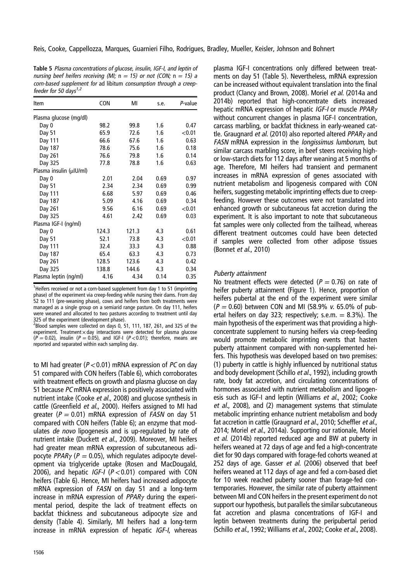<span id="page-6-0"></span>Table 5 Plasma concentrations of glucose, insulin, IGF-I, and leptin of nursing beef heifers receiving (MI;  $n = 15$ ) or not (CON;  $n = 15$ ) a corn-based supplement for ad libitum consumption through <sup>a</sup> creepfeeder for 50 days $1,2$ 

| Item                    | <b>CON</b> | MI    | s.e. | P-value   |
|-------------------------|------------|-------|------|-----------|
| Plasma glucose (mg/dl)  |            |       |      |           |
| Day 0                   | 98.2       | 99.8  | 1.6  | 0.47      |
| Day 51                  | 65.9       | 72.6  | 1.6  | ${<}0.01$ |
| Day 111                 | 66.6       | 67.6  | 1.6  | 0.63      |
| Day 187                 | 78.6       | 75.6  | 1.6  | 0.18      |
| Day 261                 | 76.6       | 79.8  | 1.6  | 0.14      |
| Day 325                 | 77.8       | 78.8  | 1.6  | 0.63      |
| Plasma insulin (µIU/ml) |            |       |      |           |
| Day 0                   | 2.01       | 2.04  | 0.69 | 0.97      |
| Day 51                  | 2.34       | 2.34  | 0.69 | 0.99      |
| Day 111                 | 6.68       | 5.97  | 0.69 | 0.46      |
| Day 187                 | 5.09       | 4.16  | 0.69 | 0.34      |
| Day 261                 | 9.56       | 6.16  | 0.69 | < 0.01    |
| Day 325                 | 4.61       | 2.42  | 0.69 | 0.03      |
| Plasma IGF-I (ng/ml)    |            |       |      |           |
| Day 0                   | 124.3      | 121.3 | 4.3  | 0.61      |
| Day 51                  | 52.1       | 73.8  | 4.3  | < 0.01    |
| Day 111                 | 32.4       | 33.3  | 4.3  | 0.88      |
| Day 187                 | 65.4       | 63.3  | 4.3  | 0.73      |
| Day 261                 | 128.5      | 123.6 | 4.3  | 0.42      |
| Day 325                 | 138.8      | 144.6 | 4.3  | 0.34      |
| Plasma leptin (ng/ml)   | 4.16       | 4.34  | 0.14 | 0.35      |

<sup>1</sup>Heifers received or not a corn-based supplement from day 1 to 51 (imprinting phase) of the experiment via creep-feeding while nursing their dams. From day 52 to 111 (pre-weaning phase), cows and heifers from both treatments were managed as a single group on a semiarid range pasture. On day 111, heifers were weaned and allocated to two pastures according to treatment until day 325 of the experiment (development phase).

 $^2$ Blood samples were collected on days 0, 51, 111, 187, 261, and 325 of the experiment. Treatment  $\times$  day interactions were detected for plasma glucose  $(P = 0.02)$ , insulin  $(P = 0.05)$ , and IGF-I  $(P < 0.01)$ ; therefore, means are reported and separated within each sampling day.

to MI had greater ( $P < 0.01$ ) mRNA expression of PC on day 51 compared with CON heifers ([Table 6\)](#page-7-0), which corroborates with treatment effects on growth and plasma glucose on day 51 because PC mRNA expression is positively associated with nutrient intake (Cooke et al., [2008](#page-7-0)) and glucose synthesis in cattle (Greenfield et al., [2000\)](#page-8-0). Heifers assigned to MI had greater ( $P = 0.01$ ) mRNA expression of *FASN* on day 51 compared with CON heifers [\(Table 6\)](#page-7-0); an enzyme that modulates de novo lipogenesis and is up-regulated by rate of nutrient intake (Duckett et al., [2009](#page-8-0)). Moreover, MI heifers had greater mean mRNA expression of subcutaneous adipocyte PPAR $\gamma$  (P = 0.05), which regulates adipocyte development via triglyceride uptake (Rosen and MacDougald, [2006](#page-8-0)), and hepatic IGF-I ( $P < 0.01$ ) compared with CON heifers [\(Table 6](#page-7-0)). Hence, MI heifers had increased adipocyte mRNA expression of FASN on day 51 and a long-term increase in mRNA expression of  $PPAR<sub>Y</sub>$  during the experimental period, despite the lack of treatment effects on backfat thickness and subcutaneous adipocyte size and density ([Table 4\)](#page-5-0). Similarly, MI heifers had a long-term increase in mRNA expression of hepatic IGF-I, whereas

plasma IGF-I concentrations only differed between treatments on day 51 (Table 5). Nevertheless, mRNA expression can be increased without equivalent translation into the final product (Clancy and Brown, [2008](#page-7-0)). Moriel et al. [\(2014a](#page-8-0) and 201[4b](#page-8-0)) reported that high-concentrate diets increased hepatic mRNA expression of hepatic IGF-I or muscle PPARγ without concurrent changes in plasma IGF-I concentration, carcass marbling, or backfat thickness in early-weaned cat-tle. Graugnard et al. ([2010\)](#page-8-0) also reported altered  $PPAR<sub>Y</sub>$  and FASN mRNA expression in the longissimus lumborum, but similar carcass marbling score, in beef steers receiving highor low-starch diets for 112 days after weaning at 5 months of age. Therefore, MI heifers had transient and permanent increases in mRNA expression of genes associated with nutrient metabolism and lipogenesis compared with CON heifers, suggesting metabolic imprinting effects due to creepfeeding. However these outcomes were not translated into enhanced growth or subcutaneous fat accretion during the experiment. It is also important to note that subcutaneous fat samples were only collected from the tailhead, whereas different treatment outcomes could have been detected if samples were collected from other adipose tissues (Bonnet et al., [2010](#page-7-0))

## Puberty attainment

No treatment effects were detected ( $P = 0.76$ ) on rate of heifer puberty attainment ([Figure 1](#page-7-0)). Hence, proportion of heifers pubertal at the end of the experiment were similar  $(P = 0.60)$  between CON and MI (58.9% v. 65.0% of pubertal heifers on day 323; respectively; s.e.m.  $= 8.3\%$ ). The main hypothesis of the experiment was that providing a highconcentrate supplement to nursing heifers via creep-feeding would promote metabolic imprinting events that hasten puberty attainment compared with non-supplemented heifers. This hypothesis was developed based on two premises: (1) puberty in cattle is highly influenced by nutritional status and body development (Schillo et al., [1992\)](#page-8-0), including growth rate, body fat accretion, and circulating concentrations of hormones associated with nutrient metabolism and lipogen-esis such as IGF-I and leptin (Williams et al., [2002;](#page-8-0) Cooke et al., [2008](#page-7-0)), and (2) management systems that stimulate metabolic imprinting enhance nutrient metabolism and body fat accretion in cattle (Graugnard et al., [2010](#page-8-0); Scheffler et al., [2014](#page-8-0); Moriel et al., [2014a](#page-8-0)). Supporting our rationale, Moriel et al. [\(2014b\)](#page-8-0) reported reduced age and BW at puberty in heifers weaned at 72 days of age and fed a high-concentrate diet for 90 days compared with forage-fed cohorts weaned at 252 days of age. Gasser et al. [\(2006](#page-8-0)) observed that beef heifers weaned at 112 days of age and fed a corn-based diet for 10 week reached puberty sooner than forage-fed contemporaries. However, the similar rate of puberty attainment between MI and CON heifers in the present experiment do not support our hypothesis, but parallels the similar subcutaneous fat accretion and plasma concentrations of IGF-I and leptin between treatments during the peripubertal period (Schillo et al., [1992](#page-8-0); Williams et al., [2002](#page-8-0); Cooke et al., [2008](#page-7-0)).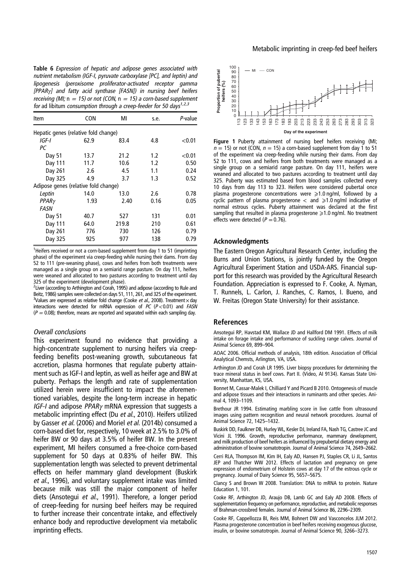<span id="page-7-0"></span>Table 6 Expression of hepatic and adipose genes associated with nutrient metabolism (IGF-I, pyruvate carboxylase [PC], and leptin) and lipogenesis (peroxisome proliferator-activated receptor gamma [PPAR<sub>Y</sub>] and fatty acid synthase [FASN]) in nursing beef heifers receiving (MI;  $n = 15$ ) or not (CON,  $n = 15$ ) a corn-based supplement for ad libitum consumption through a creep-feeder for 50 days<sup>1,2,3</sup>

| Item                                 | <b>CON</b> | MI    | s.e. | P-value   |  |  |
|--------------------------------------|------------|-------|------|-----------|--|--|
| Hepatic genes (relative fold change) |            |       |      |           |  |  |
| IGF-I                                | 62.9       | 83.4  | 4.8  | ${<}0.01$ |  |  |
| РC                                   |            |       |      |           |  |  |
| Day 51                               | 13.7       | 21.2  | 1.2  | < 0.01    |  |  |
| Day 111                              | 11.7       | 10.6  | 1.2  | 0.50      |  |  |
| Day 261                              | 2.6        | 4.5   | 1.1  | 0.24      |  |  |
| Day 325                              | 4.9        | 3.7   | 1.3  | 0.52      |  |  |
| Adipose genes (relative fold change) |            |       |      |           |  |  |
| Leptin                               | 14.0       | 13.0  | 2.6  | 0.78      |  |  |
| PPAR <sub>Y</sub>                    | 1.93       | 2.40  | 0.16 | 0.05      |  |  |
| FASN                                 |            |       |      |           |  |  |
| Day 51                               | 40.7       | 527   | 131  | 0.01      |  |  |
| Day 111                              | 64.0       | 219.8 | 210  | 0.61      |  |  |
| Day 261                              | 776        | 730   | 126  | 0.79      |  |  |
| Day 325                              | 925        | 977   | 138  | 0.79      |  |  |

<sup>1</sup>Heifers received or not a corn-based supplement from day 1 to 51 (imprinting phase) of the experiment via creep-feeding while nursing their dams. From day 52 to 111 (pre-weaning phase), cows and heifers from both treatments were managed as a single group on a semiarid range pasture. On day 111, heifers were weaned and allocated to two pastures according to treatment until day 325 of the experiment (development phase).

<sup>2</sup> Liver (according to Arthington and Corah, 1995) and adipose (according to Rule and Beitz, [1986](#page-8-0)) samples were collected on days 51, 111, 261, and 325 of the experiment. <sup>3</sup>Values are expressed as relative fold change (Cooke et al., 2008). Treatment x day interactions were detected for mRNA expression of  $PC$  ( $P < 0.01$ ) and  $FASN$  $(P = 0.08)$ ; therefore, means are reported and separated within each sampling day.

#### Overall conclusions

This experiment found no evidence that providing a high-concentrate supplement to nursing heifers via creepfeeding benefits post-weaning growth, subcutaneous fat accretion, plasma hormones that regulate puberty attainment such as IGF-I and leptin, as well as heifer age and BW at puberty. Perhaps the length and rate of supplementation utilized herein were insufficient to impact the aforementioned variables, despite the long-term increase in hepatic IGF-I and adipose  $PPARv$  mRNA expression that suggests a metabolic imprinting effect (Du et al., [2010](#page-8-0)). Heifers utilized by Gasser et al. [\(2006\)](#page-8-0) and Moriel et al. (2014b) consumed a corn-based diet for, respectively, 10 week at 2.5% to 3.0% of heifer BW or 90 days at 3.5% of heifer BW. In the present experiment, MI heifers consumed a free-choice corn-based supplement for 50 days at 0.83% of heifer BW. This supplementation length was selected to prevent detrimental effects on heifer mammary gland development (Buskirk et al., 1996), and voluntary supplement intake was limited because milk was still the major component of heifer diets (Ansotegui et al., 1991). Therefore, a longer period of creep-feeding for nursing beef heifers may be required to further increase their concentrate intake, and effectively enhance body and reproductive development via metabolic imprinting effects.



Figure 1 Puberty attainment of nursing beef heifers receiving (MI:  $n = 15$ ) or not (CON,  $n = 15$ ) a corn-based supplement from day 1 to 51 of the experiment via creep-feeding while nursing their dams. From day 52 to 111, cows and heifers from both treatments were managed as a single group on a semiarid range pasture. On day 111, heifers were weaned and allocated to two pastures according to treatment until day 325. Puberty was estimated based from blood samples collected every 10 days from day 113 to 323. Heifers were considered pubertal once plasma progesterone concentrations were  $\geq 1.0$  ng/ml, followed by a cyclic pattern of plasma progesterone  $\langle$  and  $\geq 1.0$  ng/ml indicative of normal estrous cycles. Puberty attainment was declared at the first sampling that resulted in plasma progesterone  $\geq 1.0$  ng/ml. No treatment effects were detected ( $P = 0.76$ ).

#### Acknowledgments

The Eastern Oregon Agricultural Research Center, including the Burns and Union Stations, is jointly funded by the Oregon Agricultural Experiment Station and USDA-ARS. Financial support for this research was provided by the Agricultural Research Foundation. Appreciation is expressed to F. Cooke, A. Nyman, T. Runnels, L. Carlon, J. Ranches, C. Ramos, I. Bueno, and W. Freitas (Oregon State University) for their assistance.

#### **References**

Ansotegui RP, Havstad KM, Wallace JD and Hallford DM 1991. Effects of milk intake on forage intake and performance of suckling range calves. Journal of Animal Science 69, 899–904.

AOAC 2006. Official methods of analysis, 18th edition. Association of Official Analytical Chemsts, Arlington, VA, USA.

Arthington JD and Corah LR 1995. Liver biopsy procedures for determining the trace mineral status in beef cows. Part II. (Video, AI 9134). Kansas State University, Manhattan, KS, USA.

Bonnet M, Cassar-Malek I, Chilliard Y and Picard B 2010. Ontogenesis of muscle and adipose tissues and their interactions in ruminants and other species. Animal 4, 1093–1109.

Brethour JR 1994. Estimating marbling score in live cattle from ultrasound images using pattern recognition and neural network procedures. Journal of Animal Science 72, 1425–1432.

Buskirk DD, Faulkner DB, Hurley WL, Kesler DJ, Ireland FA, Nash TG, Castree JC and Vicini JL 1996. Growth, reproductive performance, mammary development, and milk production of beef heifers as influenced by prepubertal dietary energy and administration of bovine somatotropin. Journal of Animal Science 74, 2649–2662.

Cerri RLA, Thompson IM, Kim IH, Ealy AD, Hansen PJ, Staples CR, Li JL, Santos JEP and Thatcher WW 2012. Effects of lactation and pregnancy on gene expression of endometrium of Holstein cows at day 17 of the estrous cycle or pregnancy. Journal of Dairy Science 95, 5657–5675.

Clancy S and Brown W 2008. Translation: DNA to mRNA to protein. Nature Education 1, 101.

Cooke RF, Arthington JD, Araujo DB, Lamb GC and Ealy AD 2008. Effects of supplementation frequency on performance, reproductive, and metabolic responses of Brahman-crossbred females. Journal of Animal Science 86, 2296–2309.

Cooke RF, Cappellozza BI, Reis MM, Bohnert DW and Vasconcelos JLM 2012. Plasma progesterone concentration in beef heifers receiving exogenous glucose, insulin, or bovine somatotropin. Journal of Animal Science 90, 3266–3273.